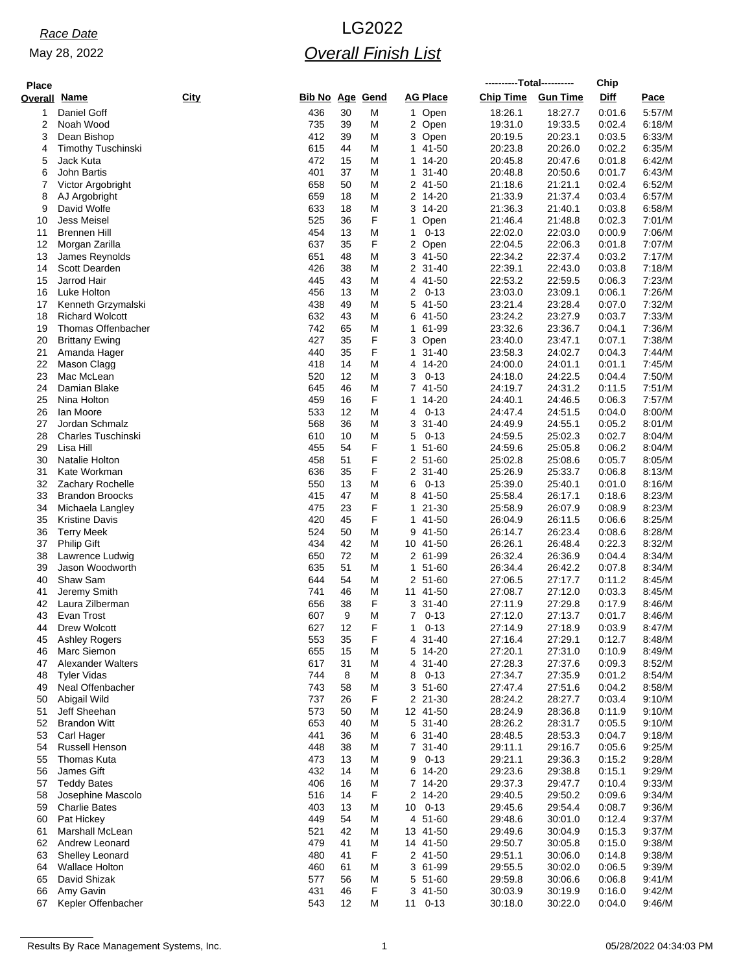May 28, 2022

# *Race Date* LG2022 *Overall Finish List*

| <b>Place</b> |                                                |             |                        |          |        |                                      | ----------Total---------- |                    | Chip             |                  |
|--------------|------------------------------------------------|-------------|------------------------|----------|--------|--------------------------------------|---------------------------|--------------------|------------------|------------------|
| Overall      | <u>Name</u>                                    | <b>City</b> | <b>Bib No Age Gend</b> |          |        | <b>AG Place</b>                      | <b>Chip Time</b>          | <b>Gun Time</b>    | <b>Diff</b>      | Pace             |
|              | Daniel Goff                                    |             | 436                    | 30       | M      | 1 Open                               | 18:26.1                   | 18:27.7            | 0:01.6           | 5:57/M           |
| 2            | Noah Wood                                      |             | 735                    | 39       | M      | 2 Open                               | 19:31.0                   | 19:33.5            | 0:02.4           | 6:18/M           |
| 3            | Dean Bishop                                    |             | 412                    | 39       | M      | 3 Open                               | 20:19.5                   | 20:23.1            | 0:03.5           | 6:33/M           |
| 4            | <b>Timothy Tuschinski</b>                      |             | 615                    | 44       | M      | 1 41-50                              | 20:23.8                   | 20:26.0            | 0:02.2           | 6:35/M           |
| 5            | Jack Kuta                                      |             | 472                    | 15       | M      | 14-20<br>1                           | 20:45.8                   | 20:47.6            | 0:01.8           | 6:42/M           |
| 6<br>7       | John Bartis<br>Victor Argobright               |             | 401<br>658             | 37<br>50 | M<br>M | $31 - 40$<br>$\mathbf{1}$<br>2 41-50 | 20:48.8<br>21:18.6        | 20:50.6<br>21:21.1 | 0:01.7<br>0.02.4 | 6:43/M<br>6:52/M |
| 8            | AJ Argobright                                  |             | 659                    | 18       | M      | 2 14-20                              | 21:33.9                   | 21:37.4            | 0:03.4           | 6:57/M           |
| 9            | David Wolfe                                    |             | 633                    | 18       | M      | 3 14-20                              | 21:36.3                   | 21:40.1            | 0:03.8           | 6:58/M           |
| 10           | <b>Jess Meisel</b>                             |             | 525                    | 36       | F      | Open<br>1                            | 21:46.4                   | 21:48.8            | 0:02.3           | 7:01/M           |
| 11           | <b>Brennen Hill</b>                            |             | 454                    | 13       | M      | $0 - 13$<br>1                        | 22:02.0                   | 22:03.0            | 0:00.9           | 7:06/M           |
| 12           | Morgan Zarilla                                 |             | 637                    | 35       | F      | 2<br>Open                            | 22:04.5                   | 22:06.3            | 0:01.8           | 7:07/M           |
| 13           | James Reynolds                                 |             | 651                    | 48       | M      | 41-50<br>3                           | 22:34.2                   | 22:37.4            | 0:03.2           | 7:17/M           |
| 14<br>15     | Scott Dearden<br>Jarrod Hair                   |             | 426<br>445             | 38<br>43 | M<br>M | 2 31-40<br>41-50<br>4                | 22:39.1<br>22:53.2        | 22:43.0<br>22:59.5 | 0:03.8<br>0:06.3 | 7:18/M<br>7:23/M |
| 16           | Luke Holton                                    |             | 456                    | 13       | M      | 2<br>$0 - 13$                        | 23:03.0                   | 23:09.1            | 0:06.1           | 7:26/M           |
| 17           | Kenneth Grzymalski                             |             | 438                    | 49       | M      | 5<br>41-50                           | 23.21.4                   | 23:28.4            | 0.07.0           | 7:32/M           |
| 18           | <b>Richard Wolcott</b>                         |             | 632                    | 43       | M      | 41-50<br>6                           | 23:24.2                   | 23:27.9            | 0:03.7           | 7:33/M           |
| 19           | Thomas Offenbacher                             |             | 742                    | 65       | M      | 61-99<br>1                           | 23:32.6                   | 23:36.7            | 0.04.1           | 7:36/M           |
| 20           | <b>Brittany Ewing</b>                          |             | 427                    | 35       | F      | 3<br>Open                            | 23:40.0                   | 23:47.1            | 0:07.1           | 7:38/M           |
| 21           | Amanda Hager                                   |             | 440                    | 35       | F      | $31 - 40$<br>1                       | 23.58.3                   | 24:02.7            | 0:04.3           | 7:44/M           |
| 22           | Mason Clagg                                    |             | 418                    | 14       | M      | 4 14-20                              | 24:00.0                   | 24:01.1            | 0:01.1           | 7:45/M           |
| 23<br>24     | Mac McLean<br>Damian Blake                     |             | 520<br>645             | 12<br>46 | M<br>M | $0 - 13$<br>3<br>7 41-50             | 24:18.0<br>24:19.7        | 24:22.5<br>24:31.2 | 0.04.4<br>0:11.5 | 7:50/M<br>7:51/M |
| 25           | Nina Holton                                    |             | 459                    | 16       | F      | 14-20<br>1.                          | 24:40.1                   | 24:46.5            | 0:06.3           | 7:57/M           |
| 26           | Ian Moore                                      |             | 533                    | 12       | M      | $0 - 13$<br>4                        | 24:47.4                   | 24:51.5            | 0:04.0           | 8:00/M           |
| 27           | Jordan Schmalz                                 |             | 568                    | 36       | M      | 3<br>$31 - 40$                       | 24:49.9                   | 24:55.1            | 0:05.2           | 8:01/M           |
| 28           | <b>Charles Tuschinski</b>                      |             | 610                    | 10       | M      | 5<br>$0 - 13$                        | 24:59.5                   | 25:02.3            | 0:02.7           | 8:04/M           |
| 29           | Lisa Hill                                      |             | 455                    | 54       | F      | 51-60<br>1                           | 24:59.6                   | 25:05.8            | 0:06.2           | 8:04/M           |
| 30           | Natalie Holton                                 |             | 458                    | 51       | F      | 2 51-60                              | 25:02.8                   | 25:08.6            | 0:05.7           | 8:05/M           |
| 31<br>32     | Kate Workman<br>Zachary Rochelle               |             | 636<br>550             | 35<br>13 | F<br>M | 2 31-40<br>$0 - 13$<br>6             | 25:26.9<br>25:39.0        | 25:33.7<br>25:40.1 | 0.06.8<br>0:01.0 | 8:13/M<br>8:16/M |
| 33           | <b>Brandon Broocks</b>                         |             | 415                    | 47       | M      | 41-50<br>8                           | 25.58.4                   | 26:17.1            | 0:18.6           | 8:23/M           |
| 34           | Michaela Langley                               |             | 475                    | 23       | F      | 21-30<br>1.                          | 25:58.9                   | 26:07.9            | 0:08.9           | 8:23/M           |
| 35           | <b>Kristine Davis</b>                          |             | 420                    | 45       | F      | 41-50<br>$\mathbf{1}$                | 26:04.9                   | 26:11.5            | 0.06.6           | 8:25/M           |
| 36           | <b>Terry Meek</b>                              |             | 524                    | 50       | Μ      | 41-50<br>9                           | 26:14.7                   | 26:23.4            | 0.08.6           | 8:28/M           |
| 37           | <b>Philip Gift</b>                             |             | 434                    | 42       | M      | 10 41-50                             | 26:26.1                   | 26:48.4            | 0.22.3           | 8:32/M           |
| 38           | Lawrence Ludwig                                |             | 650                    | 72       | M      | 2 61-99                              | 26:32.4                   | 26:36.9            | 0.04.4           | 8:34/M           |
| 39<br>40     | Jason Woodworth<br>Shaw Sam                    |             | 635<br>644             | 51<br>54 | M<br>M | $51 - 60$<br>1.<br>2 51-60           | 26:34.4<br>27:06.5        | 26:42.2<br>27:17.7 | 0.07.8           | 8:34/M<br>8:45/M |
| 41           | Jeremy Smith                                   |             | 741                    | 46       | Μ      | 11 41-50                             | 27:08.7                   | 27:12.0            | 0:11.2<br>0:03.3 | 8:45/M           |
| 42           | Laura Zilberman                                |             | 656                    | 38       | F      | 3<br>$31 - 40$                       | 27:11.9                   | 27:29.8            | 0:17.9           | 8:46/M           |
| 43           | Evan Trost                                     |             | 607                    | 9        | Μ      | $0 - 13$<br>7                        | 27:12.0                   | 27:13.7            | 0:01.7           | 8:46/M           |
| 44           | Drew Wolcott                                   |             | 627                    | 12       | F      | 1<br>$0 - 13$                        | 27:14.9                   | 27:18.9            | 0.03.9           | 8:47/M           |
| 45           | Ashley Rogers                                  |             | 553                    | 35       | F      | $31 - 40$<br>4                       | 27:16.4                   | 27:29.1            | 0:12.7           | 8:48/M           |
| 46           | Marc Siemon                                    |             | 655                    | 15       | M      | 14-20<br>5                           | 27:20.1                   | 27:31.0            | 0:10.9           | 8:49/M           |
| 47<br>48     | <b>Alexander Walters</b><br><b>Tvler Vidas</b> |             | 617<br>744             | 31<br>8  | M<br>M | $31 - 40$<br>4<br>$0 - 13$<br>8      | 27:28.3<br>27:34.7        | 27:37.6<br>27:35.9 | 0:09.3<br>0:01.2 | 8:52/M<br>8:54/M |
| 49           | Neal Offenbacher                               |             | 743                    | 58       | M      | 3 51-60                              | 27:47.4                   | 27:51.6            | 0:04.2           | 8:58/M           |
| 50           | Abigail Wild                                   |             | 737                    | 26       | F      | 2 21-30                              | 28:24.2                   | 28:27.7            | 0:03.4           | 9:10/M           |
| 51           | Jeff Sheehan                                   |             | 573                    | 50       | M      | 12 41-50                             | 28:24.9                   | 28:36.8            | 0:11.9           | 9:10/M           |
| 52           | <b>Brandon Witt</b>                            |             | 653                    | 40       | M      | 5 31-40                              | 28:26.2                   | 28:31.7            | 0:05.5           | 9:10/M           |
| 53           | Carl Hager                                     |             | 441                    | 36       | M      | 6 31-40                              | 28:48.5                   | 28:53.3            | 0:04.7           | 9:18/M           |
| 54           | Russell Henson                                 |             | 448                    | 38       | M      | 7 31-40                              | 29:11.1                   | 29:16.7            | 0:05.6           | 9:25/M           |
| 55           | Thomas Kuta<br>James Gift                      |             | 473                    | 13       | M      | $0 - 13$<br>9                        | 29:21.1                   | 29.36.3<br>29:38.8 | 0:15.2           | 9:28/M           |
| 56<br>57     | <b>Teddy Bates</b>                             |             | 432<br>406             | 14<br>16 | M<br>M | 14-20<br>6<br>7 14-20                | 29:23.6<br>29:37.3        | 29.47.7            | 0:15.1<br>0:10.4 | 9:29/M<br>9:33/M |
| 58           | Josephine Mascolo                              |             | 516                    | 14       | F      | 2 14-20                              | 29:40.5                   | 29:50.2            | 0:09.6           | 9:34/M           |
| 59           | <b>Charlie Bates</b>                           |             | 403                    | 13       | M      | $0 - 13$<br>10                       | 29:45.6                   | 29:54.4            | 0:08.7           | 9:36/M           |
| 60           | Pat Hickey                                     |             | 449                    | 54       | M      | 4 51-60                              | 29.48.6                   | 30:01.0            | 0:12.4           | 9:37/M           |
| 61           | Marshall McLean                                |             | 521                    | 42       | M      | 13 41-50                             | 29:49.6                   | 30:04.9            | 0:15.3           | 9:37/M           |
| 62           | Andrew Leonard                                 |             | 479                    | 41       | M      | 14 41-50                             | 29:50.7                   | 30:05.8            | 0:15.0           | 9:38/M           |
| 63           | <b>Shelley Leonard</b>                         |             | 480                    | 41       | F      | 2 41-50                              | 29:51.1                   | 30:06.0            | 0:14.8           | 9:38/M           |
| 64<br>65     | <b>Wallace Holton</b><br>David Shizak          |             | 460<br>577             | 61<br>56 | M      | 3<br>61-99<br>5 51-60                | 29:55.5<br>29.59.8        | 30:02.0<br>30:06.6 | 0:06.5<br>0:06.8 | 9:39/M<br>9:41/M |
| 66           | Amy Gavin                                      |             | 431                    | 46       | M<br>F | 3 41-50                              | 30:03.9                   | 30:19.9            | 0:16.0           | 9:42/M           |
| 67           | Kepler Offenbacher                             |             | 543                    | 12       | M      | 11 0-13                              | 30:18.0                   | 30:22.0            | 0:04.0           | 9:46/M           |
|              |                                                |             |                        |          |        |                                      |                           |                    |                  |                  |

Results By Race Management Systems, Inc. 1 05/28/2022 04:34:03 PM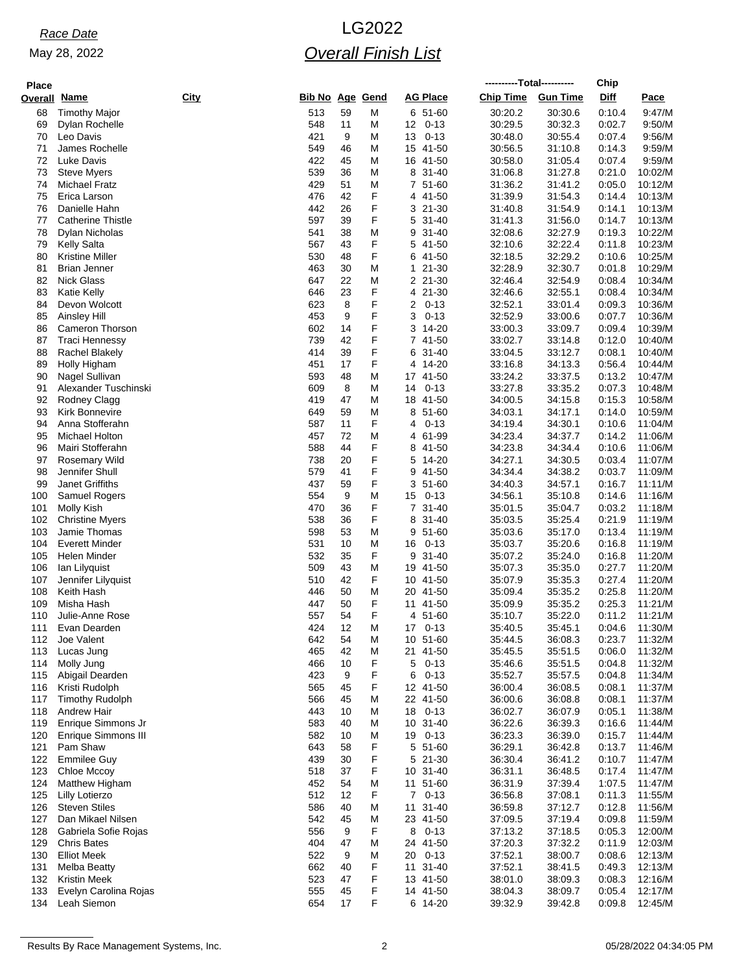May 28, 2022

# *Race Date* LG2022 *Overall Finish List*

| <b>Place</b> |                                          |             |                        |          |        |                |                      |                    | ----------Total---------- | Chip             |                    |
|--------------|------------------------------------------|-------------|------------------------|----------|--------|----------------|----------------------|--------------------|---------------------------|------------------|--------------------|
| Overall      | Name                                     | <b>City</b> | <b>Bib No Age Gend</b> |          |        |                | <b>AG Place</b>      | <b>Chip Time</b>   | <b>Gun Time</b>           | <b>Diff</b>      | Pace               |
| 68           | <b>Timothy Major</b>                     |             | 513                    | 59       | M      |                | 6 51-60              | 30:20.2            | 30:30.6                   | 0.10.4           | 9:47/M             |
| 69           | Dylan Rochelle                           |             | 548                    | 11       | M      | 12             | $0 - 13$             | 30:29.5            | 30:32.3                   | 0:02.7           | 9:50/M             |
| 70           | Leo Davis                                |             | 421                    | 9        | M      | 13             | $0 - 13$             | 30:48.0            | 30:55.4                   | 0.07.4           | 9:56/M             |
| 71           | James Rochelle                           |             | 549                    | 46       | M      |                | 15 41-50             | 30:56.5            | 31:10.8                   | 0:14.3           | 9:59/M             |
| 72<br>73     | Luke Davis<br><b>Steve Myers</b>         |             | 422<br>539             | 45<br>36 | M<br>M |                | 16 41-50<br>8 31-40  | 30:58.0<br>31:06.8 | 31:05.4<br>31:27.8        | 0.07.4<br>0.21.0 | 9:59/M<br>10:02/M  |
| 74           | <b>Michael Fratz</b>                     |             | 429                    | 51       | M      |                | 7 51-60              | 31:36.2            | 31:41.2                   | 0:05.0           | 10:12/M            |
| 75           | Erica Larson                             |             | 476                    | 42       | F      |                | 4 41-50              | 31:39.9            | 31:54.3                   | 0.14.4           | 10:13/M            |
| 76           | Danielle Hahn                            |             | 442                    | 26       | F      |                | 3 21-30              | 31:40.8            | 31:54.9                   | 0:14.1           | 10:13/M            |
| 77           | <b>Catherine Thistle</b>                 |             | 597                    | 39       | F      |                | 5 31-40              | 31:41.3            | 31:56.0                   | 0:14.7           | 10:13/M            |
| 78           | Dylan Nicholas                           |             | 541                    | 38       | M      | 9              | $31 - 40$            | 32:08.6            | 32:27.9                   | 0.19.3           | 10:22/M            |
| 79           | <b>Kelly Salta</b>                       |             | 567                    | 43       | F      |                | 5 41-50              | 32:10.6            | 32:22.4                   | 0:11.8           | 10:23/M            |
| 80<br>81     | Kristine Miller<br><b>Brian Jenner</b>   |             | 530<br>463             | 48<br>30 | F<br>M |                | 6 41-50<br>1 21-30   | 32:18.5<br>32:28.9 | 32:29.2<br>32:30.7        | 0:10.6<br>0.01.8 | 10:25/M<br>10:29/M |
| 82           | <b>Nick Glass</b>                        |             | 647                    | 22       | M      |                | 2 21-30              | 32:46.4            | 32:54.9                   | 0.08.4           | 10:34/M            |
| 83           | Katie Kelly                              |             | 646                    | 23       | F      | 4              | 21-30                | 32:46.6            | 32:55.1                   | 0:08.4           | 10:34/M            |
| 84           | Devon Wolcott                            |             | 623                    | 8        | F      | 2              | $0 - 13$             | 32:52.1            | 33.01.4                   | 0.09.3           | 10:36/M            |
| 85           | Ainsley Hill                             |             | 453                    | 9        | F      | 3              | $0 - 13$             | 32:52.9            | 33:00.6                   | 0:07.7           | 10:36/M            |
| 86           | Cameron Thorson                          |             | 602                    | 14       | F      |                | 3 14-20              | 33:00.3            | 33:09.7                   | 0.09.4           | 10:39/M            |
| 87           | Traci Hennessy                           |             | 739                    | 42       | F      |                | 7 41-50              | 33:02.7            | 33:14.8                   | 0:12.0           | 10:40/M            |
| 88<br>89     | Rachel Blakely<br>Holly Higham           |             | 414<br>451             | 39<br>17 | F<br>F |                | 6 31-40<br>4 14-20   | 33:04.5            | 33:12.7<br>34:13.3        | 0:08.1<br>0.56.4 | 10:40/M<br>10:44/M |
| 90           | Nagel Sullivan                           |             | 593                    | 48       | M      |                | 17 41-50             | 33:16.8<br>33:24.2 | 33:37.5                   | 0:13.2           | 10:47/M            |
| 91           | Alexander Tuschinski                     |             | 609                    | 8        | M      | 14             | $0 - 13$             | 33:27.8            | 33:35.2                   | 0.07.3           | 10:48/M            |
| 92           | Rodney Clagg                             |             | 419                    | 47       | M      |                | 18 41-50             | 34:00.5            | 34:15.8                   | 0:15.3           | 10:58/M            |
| 93           | <b>Kirk Bonnevire</b>                    |             | 649                    | 59       | M      |                | 8 51-60              | 34:03.1            | 34:17.1                   | 0.14.0           | 10:59/M            |
| 94           | Anna Stofferahn                          |             | 587                    | 11       | F      | 4              | $0 - 13$             | 34:19.4            | 34:30.1                   | 0:10.6           | 11:04/M            |
| 95           | Michael Holton                           |             | 457                    | 72       | M      |                | 4 61-99              | 34:23.4            | 34:37.7                   | 0:14.2           | 11:06/M            |
| 96           | Mairi Stofferahn                         |             | 588                    | 44       | F      |                | 8 41-50              | 34:23.8            | 34.34.4                   | 0.10.6           | 11:06/M            |
| 97<br>98     | <b>Rosemary Wild</b><br>Jennifer Shull   |             | 738<br>579             | 20<br>41 | F<br>F |                | 5 14-20<br>9 41-50   | 34.27.1<br>34:34.4 | 34:30.5<br>34:38.2        | 0.03.4<br>0:03.7 | 11:07/M<br>11:09/M |
| 99           | <b>Janet Griffiths</b>                   |             | 437                    | 59       | F      |                | 3 51-60              | 34:40.3            | 34:57.1                   | 0:16.7           | 11:11/M            |
| 100          | Samuel Rogers                            |             | 554                    | 9        | M      | 15             | $0 - 13$             | 34.56.1            | 35:10.8                   | 0:14.6           | 11:16/M            |
| 101          | <b>Molly Kish</b>                        |             | 470                    | 36       | F      |                | 7 31-40              | 35:01.5            | 35:04.7                   | 0:03.2           | 11:18/M            |
| 102          | <b>Christine Myers</b>                   |             | 538                    | 36       | F      |                | 8 31-40              | 35:03.5            | 35:25.4                   | 0.21.9           | 11:19/M            |
| 103          | Jamie Thomas                             |             | 598                    | 53       | M      |                | 9 51-60              | 35:03.6            | 35:17.0                   | 0:13.4           | 11:19/M            |
| 104          | <b>Everett Minder</b>                    |             | 531                    | 10       | M      | 16             | $0 - 13$             | 35:03.7            | 35:20.6                   | 0.16.8           | 11:19/M            |
| 105<br>106   | Helen Minder<br>lan Lilyquist            |             | 532<br>509             | 35<br>43 | F<br>M |                | 9 31-40<br>19 41-50  | 35:07.2<br>35:07.3 | 35:24.0<br>35:35.0        | 0.16.8<br>0.27.7 | 11:20/M<br>11:20/M |
| 107          | Jennifer Lilyquist                       |             | 510                    | 42       | F      |                | 10 41-50             | 35:07.9            | 35:35.3                   | 0:27.4           | 11:20/M            |
| 108          | Keith Hash                               |             | 446                    | 50       | M      |                | 20 41-50             | 35:09.4            | 35:35.2                   | 0.25.8           | 11:20/M            |
| 109          | Misha Hash                               |             | 447                    | 50       | F      |                | 11 41-50             | 35:09.9            | 35:35.2                   | 0:25.3           | 11:21/M            |
| 110          | Julie-Anne Rose                          |             | 557                    | 54       | F      |                | 4 51-60              | 35:10.7            | 35:22.0                   | 0:11.2           | 11:21/M            |
| 111          | Evan Dearden                             |             | 424                    | 12       | M      | 17             | $0 - 13$             | 35:40.5            | 35:45.1                   | 0.04.6           | 11:30/M            |
| 112          | Joe Valent                               |             | 642                    | 54       | M      |                | 10 51-60             | 35:44.5            | 36:08.3                   | 0.23.7           | 11:32/M            |
| 113<br>114   | Lucas Jung<br>Molly Jung                 |             | 465<br>466             | 42<br>10 | M<br>F | 5              | 21 41-50<br>$0 - 13$ | 35:45.5<br>35:46.6 | 35:51.5<br>35:51.5        | 0.06.0<br>0.04.8 | 11:32/M<br>11:32/M |
| 115          | Abigail Dearden                          |             | 423                    | 9        | F      | 6              | $0 - 13$             | 35:52.7            | 35:57.5                   | 0.04.8           | 11:34/M            |
| 116          | Kristi Rudolph                           |             | 565                    | 45       | F      |                | 12 41-50             | 36:00.4            | 36:08.5                   | 0:08.1           | 11:37/M            |
| 117          | <b>Timothy Rudolph</b>                   |             | 566                    | 45       | M      |                | 22 41-50             | 36:00.6            | 36:08.8                   | 0.08.1           | 11:37/M            |
| 118          | Andrew Hair                              |             | 443                    | 10       | M      | 18             | $0 - 13$             | 36:02.7            | 36:07.9                   | 0:05.1           | 11:38/M            |
| 119          | Enrique Simmons Jr                       |             | 583                    | 40       | M      |                | 10 31-40             | 36:22.6            | 36:39.3                   | 0.16.6           | 11:44/M            |
| 120          | Enrique Simmons III                      |             | 582                    | 10       | M      | 19             | $0 - 13$             | 36:23.3            | 36:39.0                   | 0:15.7           | 11:44/M            |
| 121<br>122   | Pam Shaw<br><b>Emmilee Guy</b>           |             | 643<br>439             | 58<br>30 | F<br>F |                | 5 51-60<br>5 21-30   | 36:29.1<br>36:30.4 | 36:42.8<br>36:41.2        | 0:13.7<br>0:10.7 | 11:46/M<br>11:47/M |
| 123          | Chloe Mccoy                              |             | 518                    | 37       | F      |                | 10 31-40             | 36:31.1            | 36:48.5                   | 0.17.4           | 11:47/M            |
| 124          | Matthew Higham                           |             | 452                    | 54       | M      |                | 11 51-60             | 36:31.9            | 37:39.4                   | 1:07.5           | 11:47/M            |
| 125          | Lilly Lotierzo                           |             | 512                    | 12       | F      | $\overline{7}$ | $0 - 13$             | 36:56.8            | 37:08.1                   | 0:11.3           | 11:55/M            |
| 126          | <b>Steven Stiles</b>                     |             | 586                    | 40       | M      | 11             | $31 - 40$            | 36:59.8            | 37:12.7                   | 0:12.8           | 11:56/M            |
| 127          | Dan Mikael Nilsen                        |             | 542                    | 45       | M      |                | 23 41-50             | 37:09.5            | 37:19.4                   | 0:09.8           | 11:59/M            |
| 128          | Gabriela Sofie Rojas                     |             | 556                    | 9        | F      | 8              | $0 - 13$             | 37:13.2            | 37:18.5                   | 0:05.3           | 12:00/M            |
| 129          | <b>Chris Bates</b><br><b>Elliot Meek</b> |             | 404<br>522             | 47<br>9  | M<br>M | 20             | 24 41-50<br>$0 - 13$ | 37:20.3            | 37:32.2<br>38:00.7        | 0:11.9           | 12:03/M            |
| 130<br>131   | Melba Beatty                             |             | 662                    | 40       | F      |                | 11 31-40             | 37:52.1<br>37:52.1 | 38:41.5                   | 0:08.6<br>0.49.3 | 12:13/M<br>12:13/M |
| 132          | <b>Kristin Meek</b>                      |             | 523                    | 47       | F      |                | 13 41-50             | 38:01.0            | 38:09.3                   | 0:08.3           | 12:16/M            |
| 133          | Evelyn Carolina Rojas                    |             | 555                    | 45       | F      |                | 14 41-50             | 38:04.3            | 38:09.7                   | 0.05.4           | 12:17/M            |
| 134          | Leah Siemon                              |             | 654                    | 17       | F      |                | 6 14-20              | 39:32.9            | 39:42.8                   | 0:09.8           | 12:45/M            |